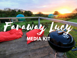# **MEDIA KIT**

Faraway Luc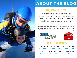

## **ABOUT THE BLOG**

### **HI, I'M LUCY!**

Lucy Ronan is a 25-year-old travel blogger based in the UK.

Faraway Lucy is a multi-award-winning, top UK travel blog founded in 2014, voted Best Up and Coming Travel Blog in the Flight Centre 2018 Travel Blog Awards and Highly Commended in Travel at the UK Blog Awards 2016.

Faraway Lucy's target audience is 20-something young professionals who want to get in as much adventure around work as possible. They travel with a budget in mind but love affordable luxury and splurge when an experience is worthy.





#### **FOCUS TOPICS:**

|               | SUSTAINABILITY CAMP/GLAMPING ADVENTURE TRAVEL |                                                                                                                                               |
|---------------|-----------------------------------------------|-----------------------------------------------------------------------------------------------------------------------------------------------|
|               | .                                             | $- 0 0 0 0 0 0 0 1$                                                                                                                           |
| <b>HIKING</b> | <b>AFFORDABLE LUXURY</b>                      | <b>STAYCATIONS</b>                                                                                                                            |
| .             | .                                             | $\bullet\hspace{0.2cm} \bullet\hspace{0.2cm} \bullet\hspace{0.2cm} \bullet\hspace{0.2cm} \bullet\hspace{0.2cm} \bullet\hspace{0.2cm} \bullet$ |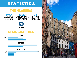## **STATISTICS**

#### **THE NUMBERS**

**PAGE VIEWS PER MONTH**

#### **UNIQUE VISITORS PER MONTH DOMAIN AUTHORITY 180K+ 130K+ 36**



#### **DEMOGRAPHICS**



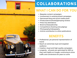

## **COLLABORATIONS**

## **WHAT I CAN DO FOR YOU**

- Bespoke content campaigns  $\bullet$
- Involvement in existing brand campaigns
- Sponsored blog and social media posts  $\bullet$
- Product/service/hotel/glamping reviews  $\bullet$
- Press trip attendance
- Brand ambassadorship
- Competitions (hosting and judging)  $\bullet$
- Photography/videography
- Article contribution to other publications

#### **BENEFITS**

- Professional, yet personal representation of brand
- Reach an extremely loyal and targeted audience
- Creative, visual and high-quality campaigns
- Longevity all posts are optimised for SEO so they rank highly on Google, continuing to drive traffic and conversions for years to come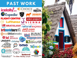## **PAST WORK**